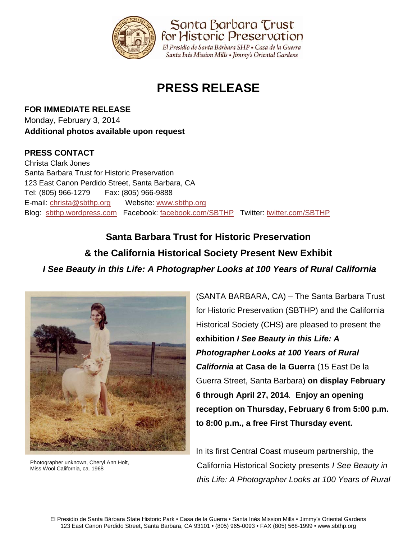

# **PRESS RELEASE**

**FOR IMMEDIATE RELEASE** Monday, February 3, 2014 **Additional photos available upon request** 

## **PRESS CONTACT**

Christa Clark Jones Santa Barbara Trust for Historic Preservation 123 East Canon Perdido Street, Santa Barbara, CA Tel: (805) 966-1279 Fax: (805) 966-9888 E-mail: christa@sbthp.org Website: www.sbthp.org Blog: sbthp.wordpress.com Facebook: facebook.com/SBTHP Twitter: twitter.com/SBTHP

**Santa Barbara Trust for Historic Preservation & the California Historical Society Present New Exhibit**  *I See Beauty in this Life: A Photographer Looks at 100 Years of Rural California*



Photographer unknown, Cheryl Ann Holt, Miss Wool California, ca. 1968

(SANTA BARBARA, CA) – The Santa Barbara Trust for Historic Preservation (SBTHP) and the California Historical Society (CHS) are pleased to present the **exhibition** *I See Beauty in this Life: A Photographer Looks at 100 Years of Rural California* **at Casa de la Guerra** (15 East De la Guerra Street, Santa Barbara) **on display February 6 through April 27, 2014**. **Enjoy an opening reception on Thursday, February 6 from 5:00 p.m. to 8:00 p.m., a free First Thursday event.**

In its first Central Coast museum partnership, the California Historical Society presents *I See Beauty in this Life: A Photographer Looks at 100 Years of Rural*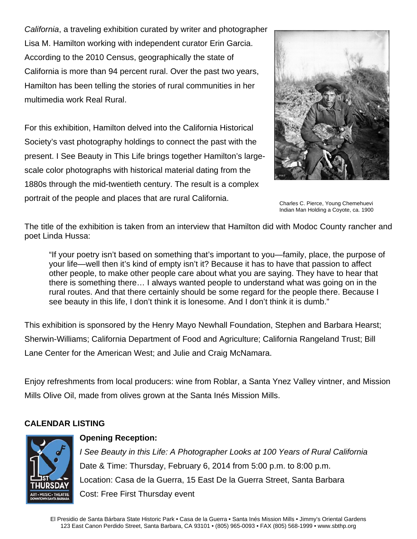*California*, a traveling exhibition curated by writer and photographer Lisa M. Hamilton working with independent curator Erin Garcia. According to the 2010 Census, geographically the state of California is more than 94 percent rural. Over the past two years, Hamilton has been telling the stories of rural communities in her multimedia work Real Rural.

For this exhibition, Hamilton delved into the California Historical Society's vast photography holdings to connect the past with the present. I See Beauty in This Life brings together Hamilton's largescale color photographs with historical material dating from the 1880s through the mid-twentieth century. The result is a complex portrait of the people and places that are rural California.



Charles C. Pierce, Young Chemehuevi Indian Man Holding a Coyote, ca. 1900

The title of the exhibition is taken from an interview that Hamilton did with Modoc County rancher and poet Linda Hussa:

"If your poetry isn't based on something that's important to you—family, place, the purpose of your life—well then it's kind of empty isn't it? Because it has to have that passion to affect other people, to make other people care about what you are saying. They have to hear that there is something there… I always wanted people to understand what was going on in the rural routes. And that there certainly should be some regard for the people there. Because I see beauty in this life, I don't think it is lonesome. And I don't think it is dumb."

This exhibition is sponsored by the Henry Mayo Newhall Foundation, Stephen and Barbara Hearst; Sherwin-Williams; California Department of Food and Agriculture; California Rangeland Trust; Bill Lane Center for the American West; and Julie and Craig McNamara.

Enjoy refreshments from local producers: wine from Roblar, a Santa Ynez Valley vintner, and Mission Mills Olive Oil, made from olives grown at the Santa Inés Mission Mills.

### **CALENDAR LISTING**



**Opening Reception:** *I* See Beauty in this Life: A Photographer Looks at 100 Years of Rural California Date & Time: Thursday, February 6, 2014 from 5:00 p.m. to 8:00 p.m. Location: Casa de la Guerra, 15 East De la Guerra Street, Santa Barbara Cost: Free First Thursday event